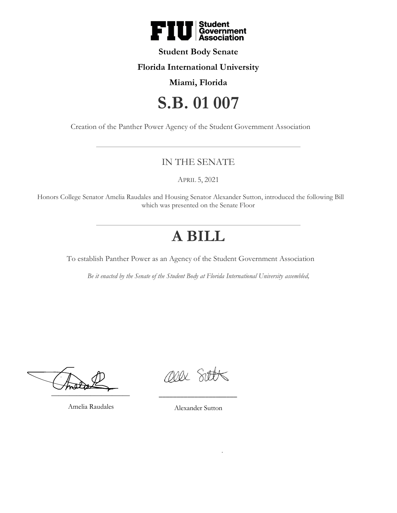

### **Student Body Senate**

### **Florida International University**

## **Miami, Florida**

# **S.B. 01 007**

Creation of the Panther Power Agency of the Student Government Association

# IN THE SENATE

APRIL 5, 2021

Honors College Senator Amelia Raudales and Housing Senator Alexander Sutton, introduced the following Bill which was presented on the Senate Floor

# **A BILL**

To establish Panther Power as an Agency of the Student Government Association

*Be it enacted by the Senate of the Student Body at Florida International University assembled,*

 $\overline{\phantom{a}}$   $\overline{\phantom{a}}$ 

Amelia Raudales

Ollx Sitt

Alexander Sutton

\_\_\_\_\_\_\_\_\_\_\_\_\_\_\_\_\_\_\_\_\_\_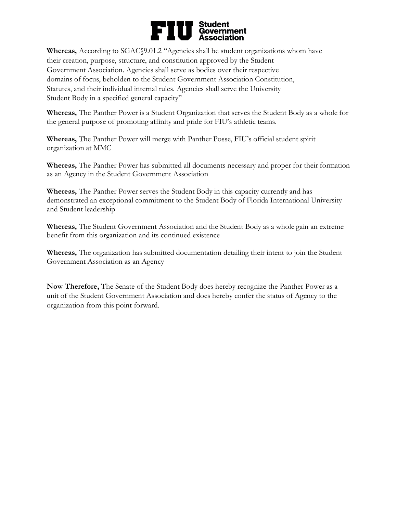# Student<br>Government<br>Association FI

**Whereas,** According to SGAC§9.01.2 "Agencies shall be student organizations whom have their creation, purpose, structure, and constitution approved by the Student Government Association. Agencies shall serve as bodies over their respective domains of focus, beholden to the Student Government Association Constitution, Statutes, and their individual internal rules. Agencies shall serve the University Student Body in a specified general capacity"

**Whereas,** The Panther Power is a Student Organization that serves the Student Body as a whole for the general purpose of promoting affinity and pride for FIU's athletic teams.

Whereas, The Panther Power will merge with Panther Posse, FIU's official student spirit organization at MMC

**Whereas,** The Panther Power has submitted all documents necessary and proper for their formation as an Agency in the Student Government Association

**Whereas,** The Panther Power serves the Student Body in this capacity currently and has demonstrated an exceptional commitment to the Student Body of Florida International University and Student leadership

**Whereas,** The Student Government Association and the Student Body as a whole gain an extreme benefit from this organization and its continued existence

**Whereas,** The organization has submitted documentation detailing their intent to join the Student Government Association as an Agency

**Now Therefore,** The Senate of the Student Body does hereby recognize the Panther Power as a unit of the Student Government Association and does hereby confer the status of Agency to the organization from this point forward.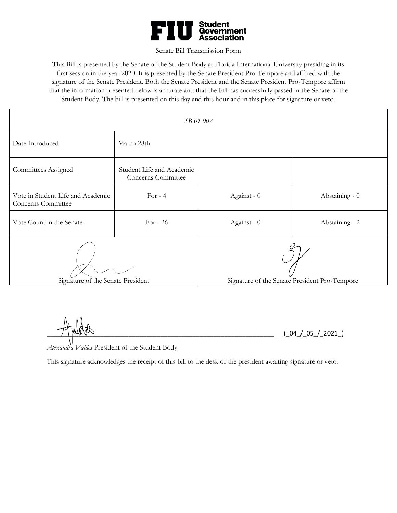

#### Senate Bill Transmission Form

This Bill is presented by the Senate of the Student Body at Florida International University presiding in its first session in the year 2020. It is presented by the Senate President Pro-Tempore and affixed with the signature of the Senate President. Both the Senate President and the Senate President Pro-Tempore affirm that the information presented below is accurate and that the bill has successfully passed in the Senate of the Student Body. The bill is presented on this day and this hour and in this place for signature or veto.

| SB 01 007                                               |                                                 |                                               |                |
|---------------------------------------------------------|-------------------------------------------------|-----------------------------------------------|----------------|
| Date Introduced                                         | March 28th                                      |                                               |                |
| Committees Assigned                                     | Student Life and Academic<br>Concerns Committee |                                               |                |
| Vote in Student Life and Academic<br>Concerns Committee | For $-4$                                        | Against - 0                                   | Abstaining - 0 |
| Vote Count in the Senate                                | For - $26$                                      | Against - 0                                   | Abstaining - 2 |
| Signature of the Senate President                       |                                                 | Signature of the Senate President Pro-Tempore |                |

 $(\_04 / 05 / 2021)$ 

*Alexandra Valdes* President of the Student Body

This signature acknowledges the receipt of this bill to the desk of the president awaiting signature or veto.